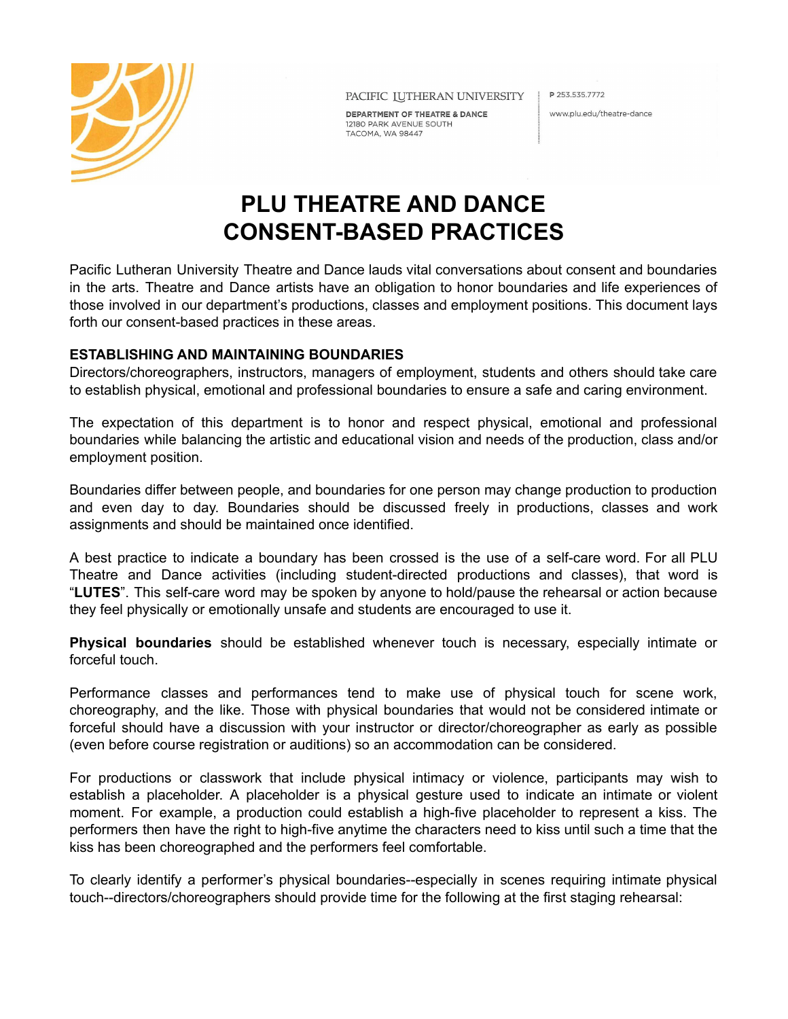

PACIFIC IUTHERAN UNIVERSITY

DEPARTMENT OF THEATRE & DANCE 12180 PARK AVENUE SOUTH TACOMA, WA 98447

P 253.535.7772

www.plu.edu/theatre-dance

# **PLU THEATRE AND DANCE CONSENT-BASED PRACTICES**

Pacific Lutheran University Theatre and Dance lauds vital conversations about consent and boundaries in the arts. Theatre and Dance artists have an obligation to honor boundaries and life experiences of those involved in our department's productions, classes and employment positions. This document lays forth our consent-based practices in these areas.

# **ESTABLISHING AND MAINTAINING BOUNDARIES**

Directors/choreographers, instructors, managers of employment, students and others should take care to establish physical, emotional and professional boundaries to ensure a safe and caring environment.

The expectation of this department is to honor and respect physical, emotional and professional boundaries while balancing the artistic and educational vision and needs of the production, class and/or employment position.

Boundaries differ between people, and boundaries for one person may change production to production and even day to day. Boundaries should be discussed freely in productions, classes and work assignments and should be maintained once identified.

A best practice to indicate a boundary has been crossed is the use of a self-care word. For all PLU Theatre and Dance activities (including student-directed productions and classes), that word is "**LUTES**". This self-care word may be spoken by anyone to hold/pause the rehearsal or action because they feel physically or emotionally unsafe and students are encouraged to use it.

**Physical boundaries** should be established whenever touch is necessary, especially intimate or forceful touch.

Performance classes and performances tend to make use of physical touch for scene work, choreography, and the like. Those with physical boundaries that would not be considered intimate or forceful should have a discussion with your instructor or director/choreographer as early as possible (even before course registration or auditions) so an accommodation can be considered.

For productions or classwork that include physical intimacy or violence, participants may wish to establish a placeholder. A placeholder is a physical gesture used to indicate an intimate or violent moment. For example, a production could establish a high-five placeholder to represent a kiss. The performers then have the right to high-five anytime the characters need to kiss until such a time that the kiss has been choreographed and the performers feel comfortable.

To clearly identify a performer's physical boundaries--especially in scenes requiring intimate physical touch--directors/choreographers should provide time for the following at the first staging rehearsal: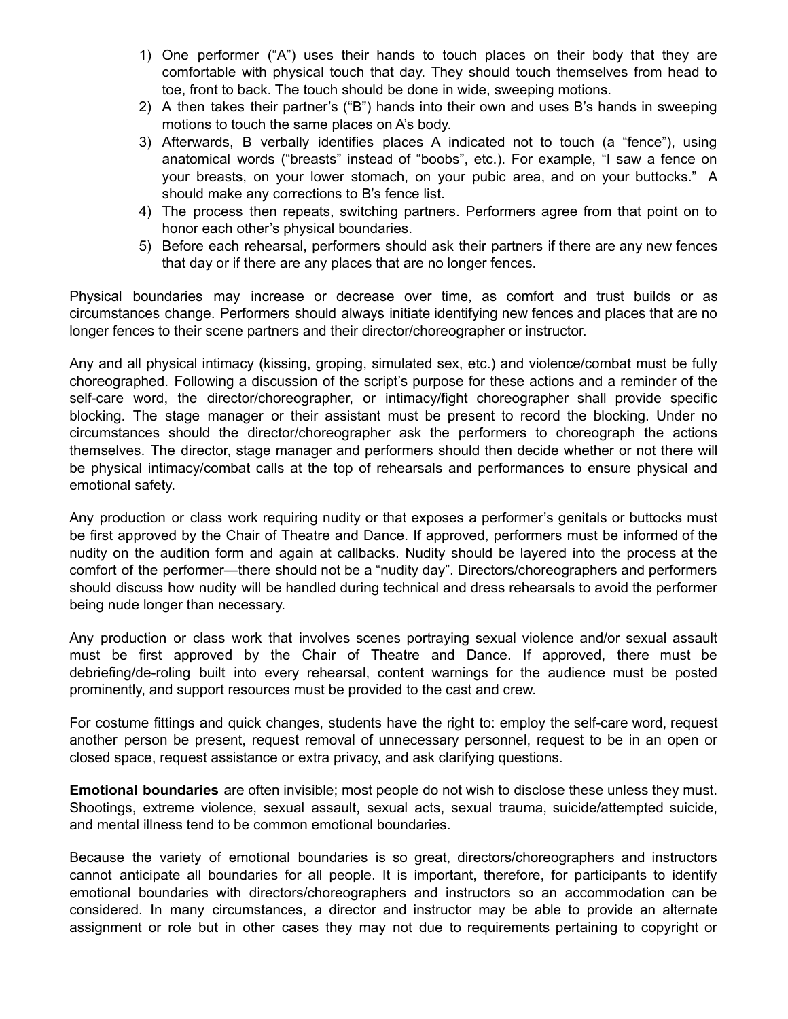- 1) One performer ("A") uses their hands to touch places on their body that they are comfortable with physical touch that day. They should touch themselves from head to toe, front to back. The touch should be done in wide, sweeping motions.
- 2) A then takes their partner's ("B") hands into their own and uses B's hands in sweeping motions to touch the same places on A's body.
- 3) Afterwards, B verbally identifies places A indicated not to touch (a "fence"), using anatomical words ("breasts" instead of "boobs", etc.). For example, "I saw a fence on your breasts, on your lower stomach, on your pubic area, and on your buttocks." A should make any corrections to B's fence list.
- 4) The process then repeats, switching partners. Performers agree from that point on to honor each other's physical boundaries.
- 5) Before each rehearsal, performers should ask their partners if there are any new fences that day or if there are any places that are no longer fences.

Physical boundaries may increase or decrease over time, as comfort and trust builds or as circumstances change. Performers should always initiate identifying new fences and places that are no longer fences to their scene partners and their director/choreographer or instructor.

Any and all physical intimacy (kissing, groping, simulated sex, etc.) and violence/combat must be fully choreographed. Following a discussion of the script's purpose for these actions and a reminder of the self-care word, the director/choreographer, or intimacy/fight choreographer shall provide specific blocking. The stage manager or their assistant must be present to record the blocking. Under no circumstances should the director/choreographer ask the performers to choreograph the actions themselves. The director, stage manager and performers should then decide whether or not there will be physical intimacy/combat calls at the top of rehearsals and performances to ensure physical and emotional safety.

Any production or class work requiring nudity or that exposes a performer's genitals or buttocks must be first approved by the Chair of Theatre and Dance. If approved, performers must be informed of the nudity on the audition form and again at callbacks. Nudity should be layered into the process at the comfort of the performer—there should not be a "nudity day". Directors/choreographers and performers should discuss how nudity will be handled during technical and dress rehearsals to avoid the performer being nude longer than necessary.

Any production or class work that involves scenes portraying sexual violence and/or sexual assault must be first approved by the Chair of Theatre and Dance. If approved, there must be debriefing/de-roling built into every rehearsal, content warnings for the audience must be posted prominently, and support resources must be provided to the cast and crew.

For costume fittings and quick changes, students have the right to: employ the self-care word, request another person be present, request removal of unnecessary personnel, request to be in an open or closed space, request assistance or extra privacy, and ask clarifying questions.

**Emotional boundaries** are often invisible; most people do not wish to disclose these unless they must. Shootings, extreme violence, sexual assault, sexual acts, sexual trauma, suicide/attempted suicide, and mental illness tend to be common emotional boundaries.

Because the variety of emotional boundaries is so great, directors/choreographers and instructors cannot anticipate all boundaries for all people. It is important, therefore, for participants to identify emotional boundaries with directors/choreographers and instructors so an accommodation can be considered. In many circumstances, a director and instructor may be able to provide an alternate assignment or role but in other cases they may not due to requirements pertaining to copyright or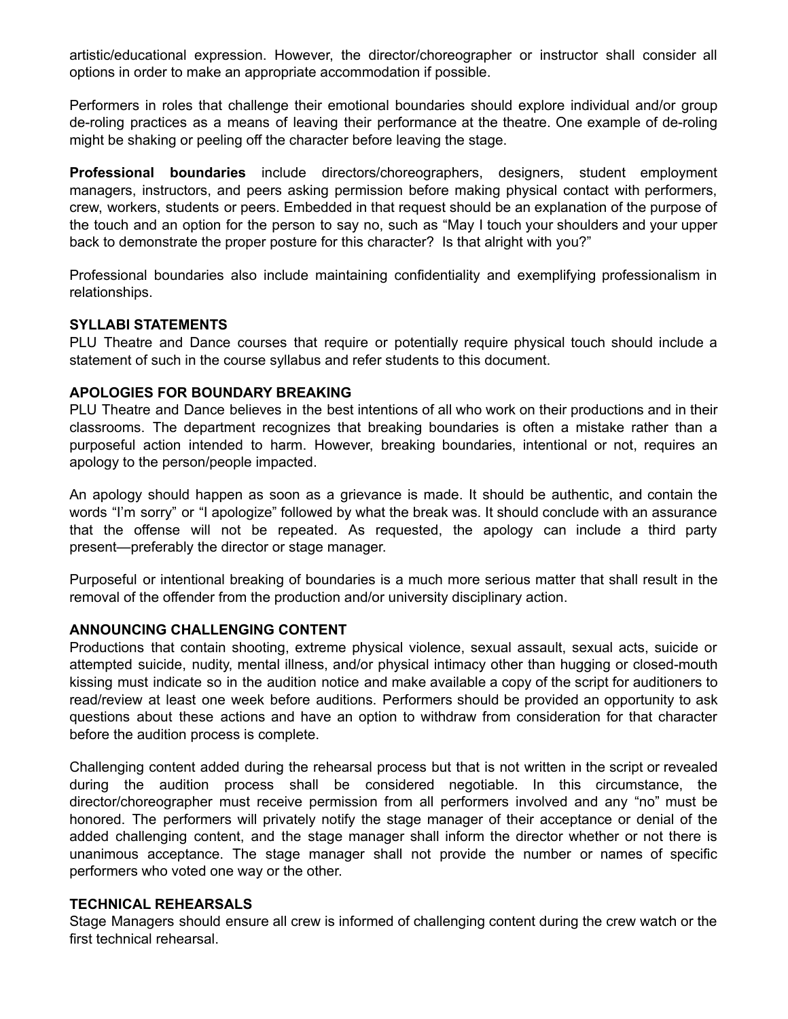artistic/educational expression. However, the director/choreographer or instructor shall consider all options in order to make an appropriate accommodation if possible.

Performers in roles that challenge their emotional boundaries should explore individual and/or group de-roling practices as a means of leaving their performance at the theatre. One example of de-roling might be shaking or peeling off the character before leaving the stage.

**Professional boundaries** include directors/choreographers, designers, student employment managers, instructors, and peers asking permission before making physical contact with performers, crew, workers, students or peers. Embedded in that request should be an explanation of the purpose of the touch and an option for the person to say no, such as "May I touch your shoulders and your upper back to demonstrate the proper posture for this character? Is that alright with you?"

Professional boundaries also include maintaining confidentiality and exemplifying professionalism in relationships.

## **SYLLABI STATEMENTS**

PLU Theatre and Dance courses that require or potentially require physical touch should include a statement of such in the course syllabus and refer students to this document.

## **APOLOGIES FOR BOUNDARY BREAKING**

PLU Theatre and Dance believes in the best intentions of all who work on their productions and in their classrooms. The department recognizes that breaking boundaries is often a mistake rather than a purposeful action intended to harm. However, breaking boundaries, intentional or not, requires an apology to the person/people impacted.

An apology should happen as soon as a grievance is made. It should be authentic, and contain the words "I'm sorry" or "I apologize" followed by what the break was. It should conclude with an assurance that the offense will not be repeated. As requested, the apology can include a third party present—preferably the director or stage manager.

Purposeful or intentional breaking of boundaries is a much more serious matter that shall result in the removal of the offender from the production and/or university disciplinary action.

## **ANNOUNCING CHALLENGING CONTENT**

Productions that contain shooting, extreme physical violence, sexual assault, sexual acts, suicide or attempted suicide, nudity, mental illness, and/or physical intimacy other than hugging or closed-mouth kissing must indicate so in the audition notice and make available a copy of the script for auditioners to read/review at least one week before auditions. Performers should be provided an opportunity to ask questions about these actions and have an option to withdraw from consideration for that character before the audition process is complete.

Challenging content added during the rehearsal process but that is not written in the script or revealed during the audition process shall be considered negotiable. In this circumstance, the director/choreographer must receive permission from all performers involved and any "no" must be honored. The performers will privately notify the stage manager of their acceptance or denial of the added challenging content, and the stage manager shall inform the director whether or not there is unanimous acceptance. The stage manager shall not provide the number or names of specific performers who voted one way or the other.

#### **TECHNICAL REHEARSALS**

Stage Managers should ensure all crew is informed of challenging content during the crew watch or the first technical rehearsal.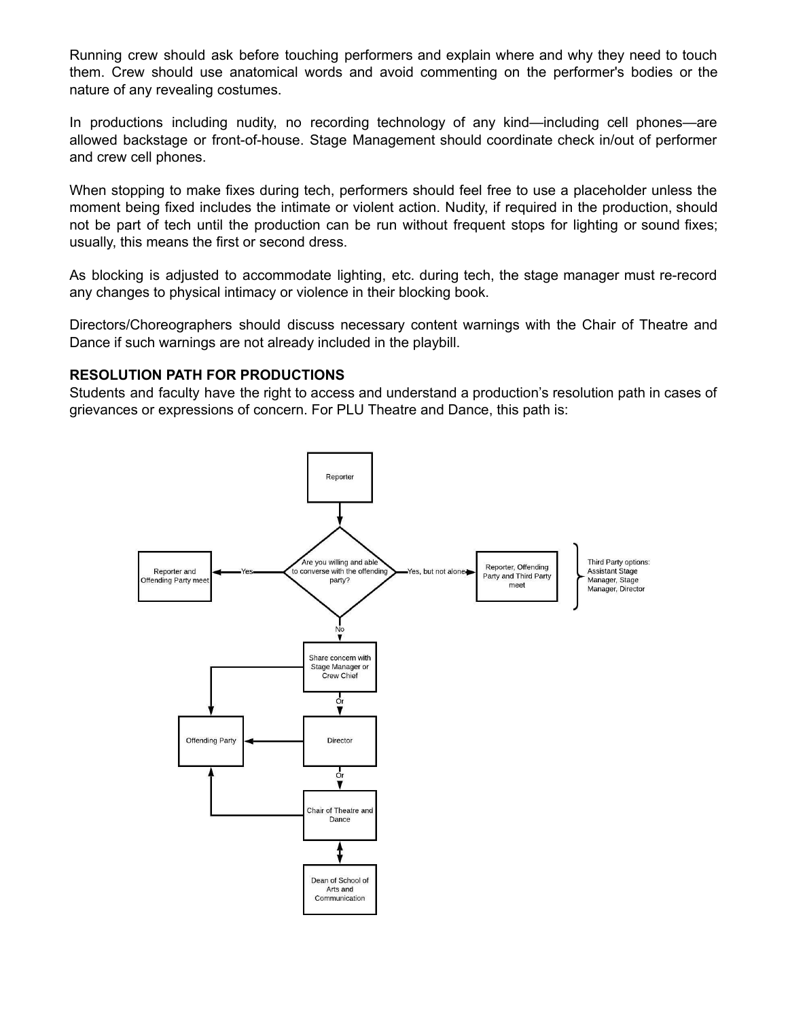Running crew should ask before touching performers and explain where and why they need to touch them. Crew should use anatomical words and avoid commenting on the performer's bodies or the nature of any revealing costumes.

In productions including nudity, no recording technology of any kind—including cell phones—are allowed backstage or front-of-house. Stage Management should coordinate check in/out of performer and crew cell phones.

When stopping to make fixes during tech, performers should feel free to use a placeholder unless the moment being fixed includes the intimate or violent action. Nudity, if required in the production, should not be part of tech until the production can be run without frequent stops for lighting or sound fixes; usually, this means the first or second dress.

As blocking is adjusted to accommodate lighting, etc. during tech, the stage manager must re-record any changes to physical intimacy or violence in their blocking book.

Directors/Choreographers should discuss necessary content warnings with the Chair of Theatre and Dance if such warnings are not already included in the playbill.

#### **RESOLUTION PATH FOR PRODUCTIONS**

Students and faculty have the right to access and understand a production's resolution path in cases of grievances or expressions of concern. For PLU Theatre and Dance, this path is: